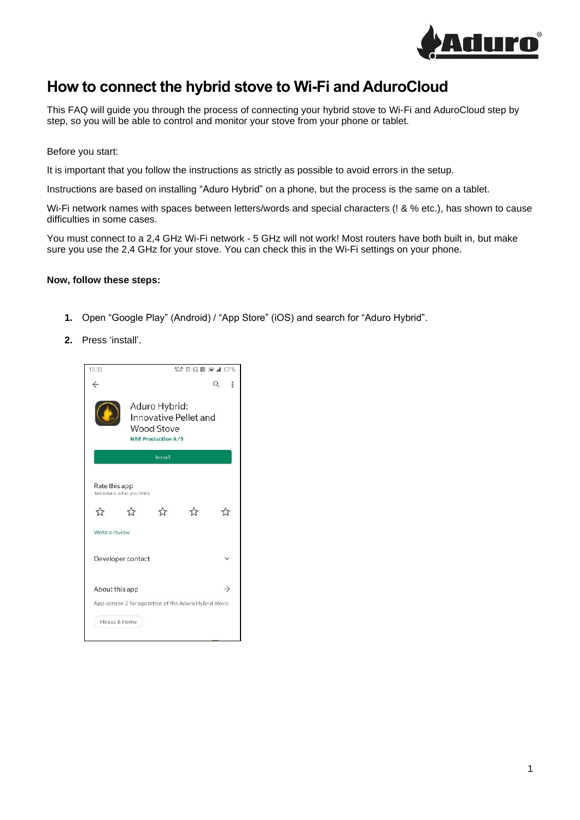

## **How to connect the hybrid stove to Wi-Fi and AduroCloud**

This FAQ will guide you through the process of connecting your hybrid stove to Wi-Fi and AduroCloud step by step, so you will be able to control and monitor your stove from your phone or tablet.

## Before you start:

It is important that you follow the instructions as strictly as possible to avoid errors in the setup.

Instructions are based on installing "Aduro Hybrid" on a phone, but the process is the same on a tablet.

Wi-Fi network names with spaces between letters/words and special characters (! & % etc.), has shown to cause difficulties in some cases.

You must connect to a 2,4 GHz Wi-Fi network - 5 GHz will not work! Most routers have both built in, but make sure you use the 2,4 GHz for your stove. You can check this in the Wi-Fi settings on your phone.

## **Now, follow these steps:**

- **1.** Open "Google Play" (Android) / "App Store" (iOS) and search for "Aduro Hybrid".
- **2.** Press 'install'.

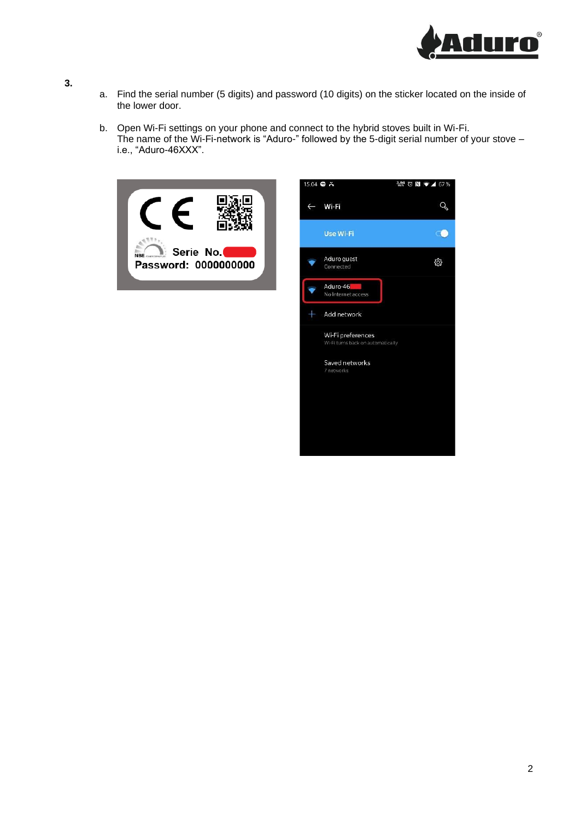

- a. Find the serial number (5 digits) and password (10 digits) on the sticker located on the inside of the lower door.
- b. Open Wi-Fi settings on your phone and connect to the hybrid stoves built in Wi-Fi. The name of the Wi-Fi-network is "Aduro-" followed by the 5-digit serial number of your stove – i.e., "Aduro-46XXX".



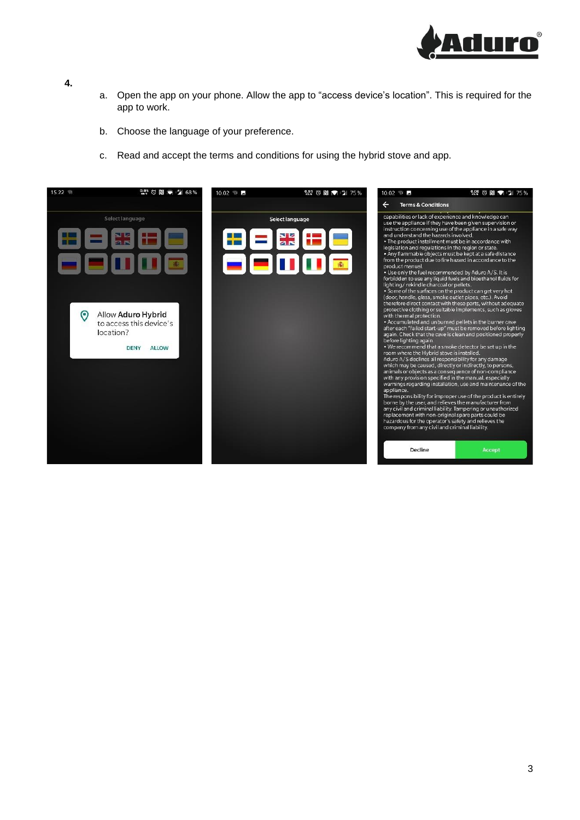

- a. Open the app on your phone. Allow the app to "access device's location". This is required for the app to work.
- b. Choose the language of your preference.
- c. Read and accept the terms and conditions for using the hybrid stove and app.

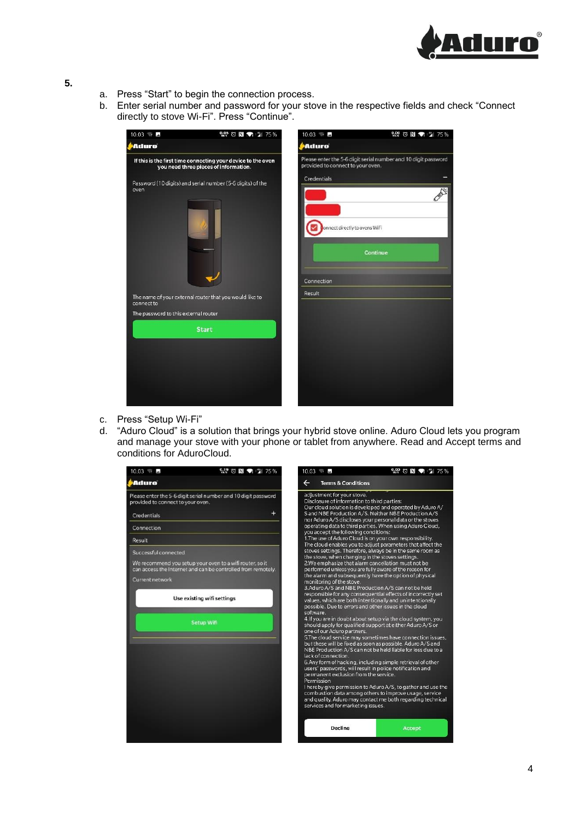

- a. Press "Start" to begin the connection process.
- b. Enter serial number and password for your stove in the respective fields and check "Connect directly to stove Wi-Fi". Press "Continue".



- c. Press "Setup Wi-Fi"
- d. "Aduro Cloud" is a solution that brings your hybrid stove online. Aduro Cloud lets you program and manage your stove with your phone or tablet from anywhere. Read and Accept terms and conditions for AduroCloud.

| $10.03 \pm 2$                                                                                                                                                       | $219$ $\circ$ $\bullet$ $\bullet$ $31$ 75% | $10.03 \t B$                                                            | 2.9 ◎ N ● ■ 75 %                                                                                                                                                                                                                                                                                                                                                                                                                                                                                                                                    |
|---------------------------------------------------------------------------------------------------------------------------------------------------------------------|--------------------------------------------|-------------------------------------------------------------------------|-----------------------------------------------------------------------------------------------------------------------------------------------------------------------------------------------------------------------------------------------------------------------------------------------------------------------------------------------------------------------------------------------------------------------------------------------------------------------------------------------------------------------------------------------------|
| PAduro                                                                                                                                                              | $\leftarrow$                               | <b>Terms &amp; Conditions</b>                                           |                                                                                                                                                                                                                                                                                                                                                                                                                                                                                                                                                     |
| Please enter the 5-6 digit serial number and 10 digit password<br>provided to connect to your oven.                                                                 |                                            | adjustment for your stove.                                              | Disclosure of information to third parties:<br>Our cloud solution is developed and operated by Aduro A/                                                                                                                                                                                                                                                                                                                                                                                                                                             |
| Credentials                                                                                                                                                         | +                                          |                                                                         | S and NBE Production A/S. Neither NBE Production A/S<br>nor Aduro A/S discloses your personal data or the stoves                                                                                                                                                                                                                                                                                                                                                                                                                                    |
| Connection                                                                                                                                                          |                                            |                                                                         | operating data to third parties. When using Aduro Cloud,<br>you accept the following conditions:                                                                                                                                                                                                                                                                                                                                                                                                                                                    |
| Result                                                                                                                                                              |                                            |                                                                         | 1. The use of Aduro Cloud is on your own responsibility.<br>The cloud enables you to adjust parameters that affect the                                                                                                                                                                                                                                                                                                                                                                                                                              |
| Successful connected<br>We recommend you setup your oven to a wifi router, so it<br>can access the Internet and can be controlled from remotely.<br>Current network |                                            | monitoring of the stove.                                                | stoves settings. Therefore, always be in the same room as<br>the stove, when changing in the stoves settings.<br>2.We emphasize that alarm cancellation must not be<br>performed unless you are fully aware of the reason for<br>the alarm and subsequently have the option of physical<br>3.Aduro A/S and NBE Production A/S can not be held                                                                                                                                                                                                       |
| Use existing wifi settings                                                                                                                                          |                                            | software.                                                               | responsible for any consequential effects of incorrectly set<br>values, which are both intentionally and unintentionally<br>possible. Due to errors and other issues in the cloud                                                                                                                                                                                                                                                                                                                                                                   |
| <b>Setup Wifi</b>                                                                                                                                                   |                                            | one of our Aduro partners.                                              | 4. If you are in doubt about setup via the cloud system, you<br>should apply for qualified support at either Aduro A/S or                                                                                                                                                                                                                                                                                                                                                                                                                           |
|                                                                                                                                                                     |                                            | lack of connection.<br>Permission<br>services and for marketing issues. | 5. The cloud service may sometimes have connection issues,<br>but these will be fixed as soon as possible. Aduro A/S and<br>NBE Production A/S can not be held liable for loss due to a<br>6. Any form of hacking, including simple retrieval of other<br>users' passwords, will result in police notification and<br>permanent exclusion from the service.<br>I hereby give permission to Aduro A/S, to gather and use the<br>combustion data among others to improve usage, service<br>and quality. Aduro may contact me both regarding technical |
|                                                                                                                                                                     |                                            | Decline                                                                 | Accept                                                                                                                                                                                                                                                                                                                                                                                                                                                                                                                                              |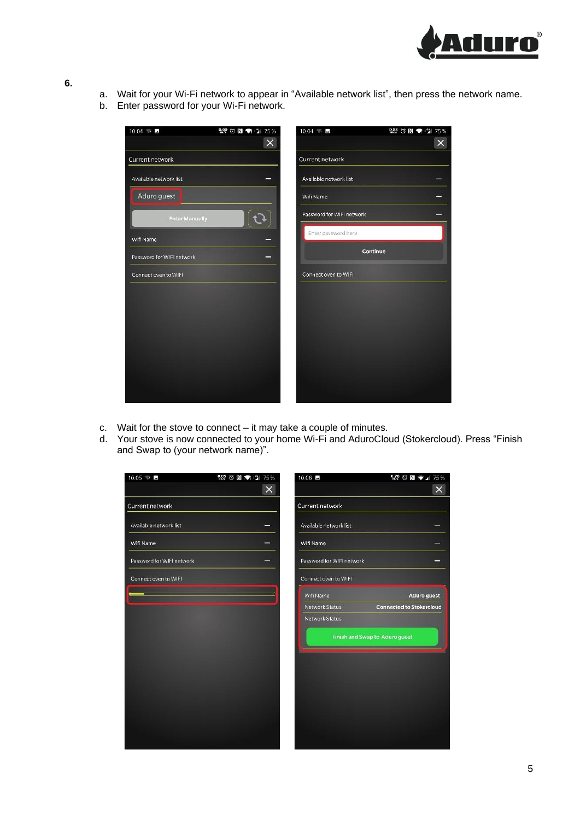

- a. Wait for your Wi-Fi network to appear in "Available network list", then press the network name.
- b. Enter password for your Wi-Fi network.



- c. Wait for the stove to connect it may take a couple of minutes.
- d. Your stove is now connected to your home Wi-Fi and AduroCloud (Stokercloud). Press "Finish and Swap to (your network name)".

| 10.05 $\sqrt{2}$          | $^{0.05}_{\text{\tiny{KW}*}}$ $\bullet$ $\bullet$ $\bullet$ $^{*9}_{\text{H}}$ 75% | 10.06 5                   | $\frac{0.76}{904}$ $\odot$ $\ddot{R}$ $\ddot{R}$ $\ddot{R}$ $\ddot{A}$ 75% |
|---------------------------|------------------------------------------------------------------------------------|---------------------------|----------------------------------------------------------------------------|
|                           | $\times$                                                                           |                           | $\times$                                                                   |
| Current network           |                                                                                    | Current network           |                                                                            |
| Available network list    |                                                                                    | Available network list    |                                                                            |
| Wifi Name                 |                                                                                    | Wifi Name                 |                                                                            |
| Password for WIFI network |                                                                                    | Password for WIFI network |                                                                            |
| Connect oven to WIFI      |                                                                                    | Connect oven to WIFI      |                                                                            |
|                           |                                                                                    | Wifi Name                 | Aduro guest                                                                |
|                           |                                                                                    | <b>Network Status</b>     | <b>Connected to Stokercloud</b>                                            |
|                           |                                                                                    | Network Status            |                                                                            |
|                           |                                                                                    |                           | <b>Finish and Swap to Aduro guest</b>                                      |
|                           |                                                                                    |                           |                                                                            |
|                           |                                                                                    |                           |                                                                            |
|                           |                                                                                    |                           |                                                                            |
|                           |                                                                                    |                           |                                                                            |
|                           |                                                                                    |                           |                                                                            |
|                           |                                                                                    |                           |                                                                            |
|                           |                                                                                    |                           |                                                                            |
|                           |                                                                                    |                           |                                                                            |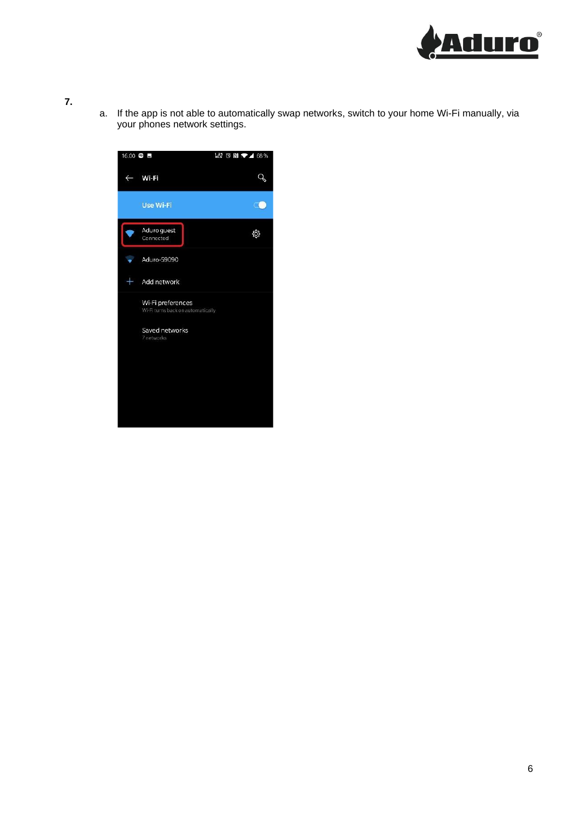

a. If the app is not able to automatically swap networks, switch to your home Wi-Fi manually, via your phones network settings.

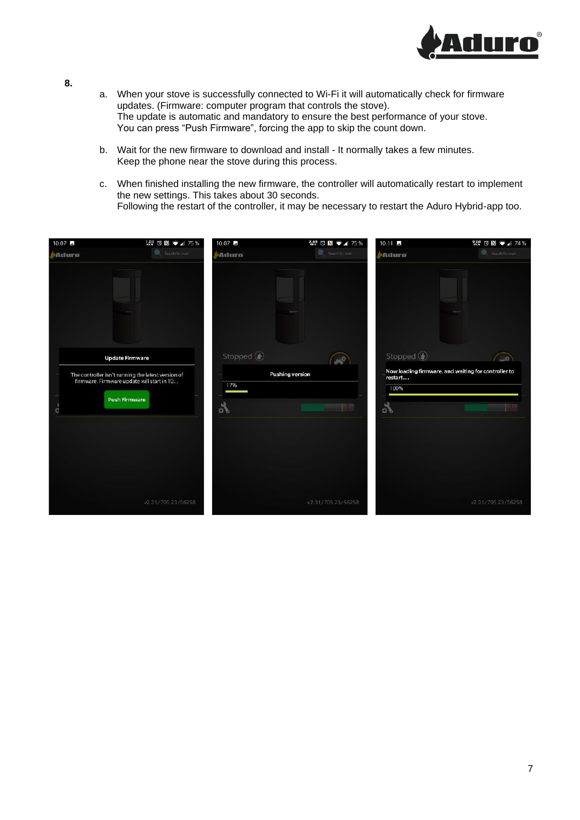

- a. When your stove is successfully connected to Wi-Fi it will automatically check for firmware updates. (Firmware: computer program that controls the stove). The update is automatic and mandatory to ensure the best performance of your stove. You can press "Push Firmware", forcing the app to skip the count down.
- b. Wait for the new firmware to download and install It normally takes a few minutes. Keep the phone near the stove during this process.
- c. When finished installing the new firmware, the controller will automatically restart to implement the new settings. This takes about 30 seconds. Following the restart of the controller, it may be necessary to restart the Aduro Hybrid-app too.

| 10.07 $\blacksquare$ | $1.03$ $\circledcirc$ $\circledcirc$ $\bullet$ $\bullet$ $\bullet$ 75%                                                                             | 10.07                           | $2.49$ $\circledcirc$ $\bullet$ $\bullet$ $\bullet$ 75% | $10.11 -$                                    | $\frac{0.04}{100}$ $\odot$ $\ddot{N}$ $\rightarrow$ $\cdots$ 74% |
|----------------------|----------------------------------------------------------------------------------------------------------------------------------------------------|---------------------------------|---------------------------------------------------------|----------------------------------------------|------------------------------------------------------------------|
| Aduro                | Search for over                                                                                                                                    | Adiuro                          | Search for over                                         | Atturo                                       | Search for over-                                                 |
| C.                   | <b>Update Firmware</b><br>The controller isn't running the latest version of<br>firmware. Firmware update will start in 10<br><b>Push Firmware</b> | Stopped $\bigcirc$<br>17%<br>d. | <b>Pushing version</b>                                  | Stopped $\circledR$<br>restart<br>100%<br>s. | $\sim 0$<br>Now loading firmware, and waiting for controller to  |
|                      | v2.31/705.23/56258                                                                                                                                 |                                 | v2.31/705.23/56258                                      |                                              | v2.31/705.23/56258                                               |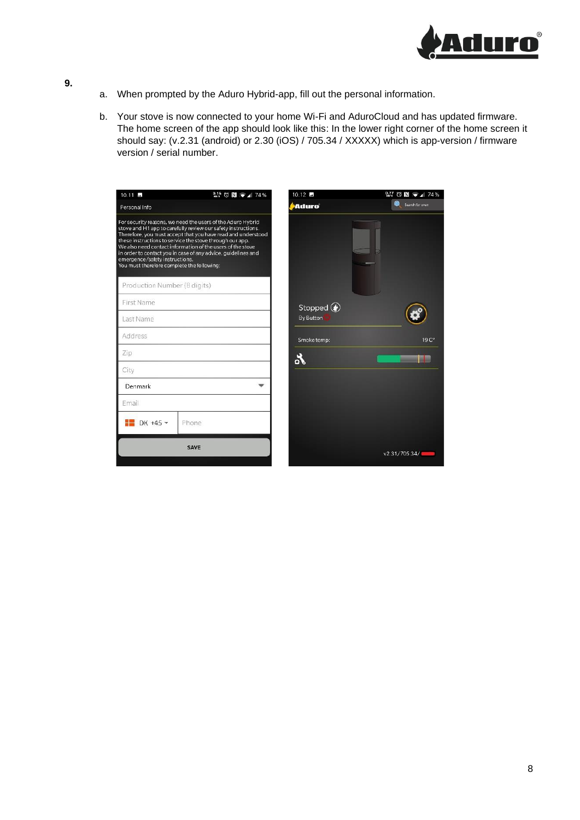

- a. When prompted by the Aduro Hybrid-app, fill out the personal information.
- b. Your stove is now connected to your home Wi-Fi and AduroCloud and has updated firmware. The home screen of the app should look like this: In the lower right corner of the home screen it should say: (v.2.31 (android) or 2.30 (iOS) / 705.34 / XXXXX) which is app-version / firmware version / serial number.

| $10.11$ $\blacksquare$                                                       | $\frac{0.15}{90.8}$ $\odot$ $\ddot{N}$ $\ddot{N}$ $\ddot{N}$ $\ddot{A}$ 74%                                                                                                                                                                                                                                                                                                             | $10.12$ $\blacksquare$ | $M$ $\odot$ N $\bullet$ 1 74% |
|------------------------------------------------------------------------------|-----------------------------------------------------------------------------------------------------------------------------------------------------------------------------------------------------------------------------------------------------------------------------------------------------------------------------------------------------------------------------------------|------------------------|-------------------------------|
| Personal Info                                                                |                                                                                                                                                                                                                                                                                                                                                                                         | Aduro                  | Search for oven               |
| emergence/safety instructions.<br>You must therefore complete the following: | For security reasons, we need the users of the Aduro Hybrid<br>stove and H1 app to carefully review our safety instructions.<br>Therefore, you must accept that you have read and understood<br>these instructions to service the stove through our app.<br>We also need contact information of the users of the stove<br>in order to contact you in case of any advice, guidelines and |                        |                               |
| Production Number (8 digits)                                                 |                                                                                                                                                                                                                                                                                                                                                                                         |                        |                               |
| First Name                                                                   |                                                                                                                                                                                                                                                                                                                                                                                         | Stopped $\bigcirc$     |                               |
| Last Name                                                                    |                                                                                                                                                                                                                                                                                                                                                                                         | By Button              |                               |
| Address                                                                      |                                                                                                                                                                                                                                                                                                                                                                                         | Smoke temp:            | 19C <sup>o</sup>              |
| Zip                                                                          |                                                                                                                                                                                                                                                                                                                                                                                         | Lo                     |                               |
| City                                                                         |                                                                                                                                                                                                                                                                                                                                                                                         |                        |                               |
| Denmark                                                                      |                                                                                                                                                                                                                                                                                                                                                                                         |                        |                               |
| Email                                                                        |                                                                                                                                                                                                                                                                                                                                                                                         |                        |                               |
| DK +45 $\star$                                                               | Phone                                                                                                                                                                                                                                                                                                                                                                                   |                        |                               |
|                                                                              | <b>SAVE</b>                                                                                                                                                                                                                                                                                                                                                                             |                        | v2.31/705.34/                 |